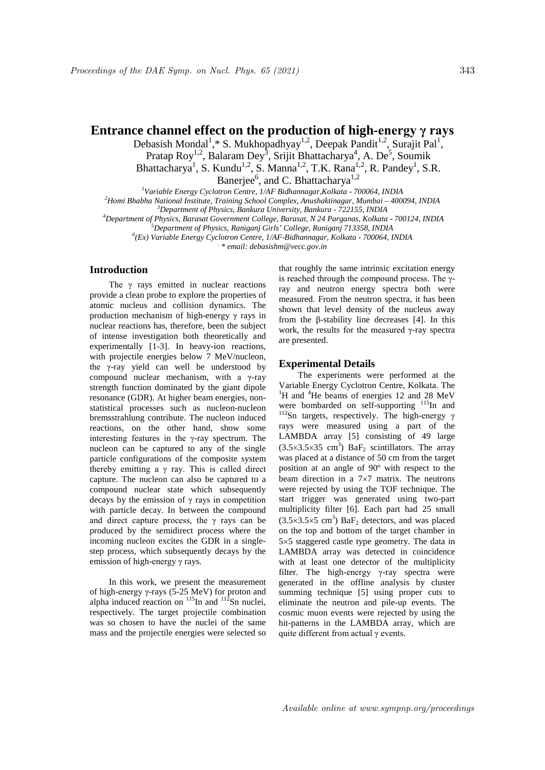# **Entrance channel effect on the production of high-energy γ rays**

Debasish Mondal<sup>1</sup>,\* S. Mukhopadhyay<sup>1,2</sup>, Deepak Pandit<sup>1,2</sup>, Surajit Pal<sup>1</sup>, Pratap Roy<sup>1,2</sup>, Balaram Dey<sup>3</sup>, Srijit Bhattacharya<sup>4</sup>, A. De<sup>5</sup>, Soumik Bhattacharya<sup>1</sup>, S. Kundu<sup>1,2</sup>, S. Manna<sup>1,2</sup>, T.K. Rana<sup>1,2</sup>, R. Pandey<sup>1</sup>, S.R. Banerjee<sup>6</sup>, and C. Bhattacharya<sup>1,2</sup>

*1 Variable Energy Cyclotron Centre, 1/AF Bidhannagar,Kolkata - 700064, INDIA <sup>2</sup> Homi Bhabha National Institute, Training School Complex, Anushaktinagar, Mumbai – 400094, INDIA <sup>3</sup> Department of Physics, Bankura University, Bankura - 722155, INDIA <sup>4</sup> Department of Physics, Barasat Government College, Barasat, N 24 Parganas, Kolkata - 700124, INDIA <sup>5</sup> Department of Physics, Raniganj Girls' College, Raniganj 713358, INDIA <sup>6</sup> (Ex) Variable Energy Cyclotron Centre, 1/AF-Bidhannagar, Kolkata - 700064, INDIA . \* email: debasishm@vecc.gov.in*

## **Introduction**

The  $\gamma$  rays emitted in nuclear reactions provide a clean probe to explore the properties of atomic nucleus and collision dynamics. The production mechanism of high-energy γ rays in nuclear reactions has, therefore, been the subject of intense investigation both theoretically and experimentally [1-3]. In heavy-ion reactions, with projectile energies below 7 MeV/nucleon, the γ-ray yield can well be understood by compound nuclear mechanism, with a γ-ray strength function dominated by the giant dipole resonance (GDR). At higher beam energies, nonstatistical processes such as nucleon-nucleon bremsstrahlung contribute. The nucleon induced reactions, on the other hand, show some interesting features in the γ-ray spectrum. The nucleon can be captured to any of the single particle configurations of the composite system thereby emitting a  $\gamma$  ray. This is called direct capture. The nucleon can also be captured to a compound nuclear state which subsequently decays by the emission of  $\gamma$  rays in competition with particle decay. In between the compound and direct capture process, the  $\gamma$  rays can be produced by the semidirect process where the incoming nucleon excites the GDR in a singlestep process, which subsequently decays by the emission of high-energy γ rays.

In this work, we present the measurement of high-energy γ-rays (5-25 MeV) for proton and alpha induced reaction on  $^{115}$ In and  $^{112}$ Sn nuclei, respectively. The target projectile combination was so chosen to have the nuclei of the same mass and the projectile energies were selected so

that roughly the same intrinsic excitation energy is reached through the compound process. The γray and neutron energy spectra both were measured. From the neutron spectra, it has been shown that level density of the nucleus away from the β-stability line decreases [4]. In this work, the results for the measured  $\gamma$ -ray spectra are presented.

### **Experimental Details**

The experiments were performed at the Variable Energy Cyclotron Centre, Kolkata. The 1 H and <sup>4</sup>He beams of energies 12 and 28 MeV were bombarded on self-supporting <sup>115</sup>In and <sup>112</sup>Sn targets, respectively. The high-energy γ rays were measured using a part of the LAMBDA array [5] consisting of 49 large  $(3.5 \times 3.5 \times 35 \text{ cm}^3)$  BaF<sub>2</sub> scintillators. The array was placed at a distance of 50 cm from the target position at an angle of 90º with respect to the beam direction in a 7×7 matrix. The neutrons were rejected by using the TOF technique. The start trigger was generated using two-part multiplicity filter [6]. Each part had 25 small  $(3.5 \times 3.5 \times 5 \text{ cm}^3)$  BaF<sub>2</sub> detectors, and was placed on the top and bottom of the target chamber in 5×5 staggered castle type geometry. The data in LAMBDA array was detected in coincidence with at least one detector of the multiplicity filter. The high-energy γ-ray spectra were generated in the offline analysis by cluster summing technique [5] using proper cuts to eliminate the neutron and pile-up events. The cosmic muon events were rejected by using the hit-patterns in the LAMBDA array, which are quite different from actual γ events.